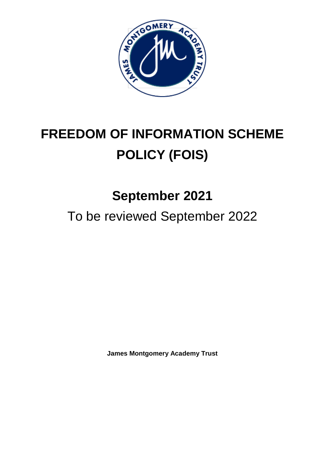

# **FREEDOM OF INFORMATION SCHEME POLICY (FOIS)**

# **September 2021**

To be reviewed September 2022

**James Montgomery Academy Trust**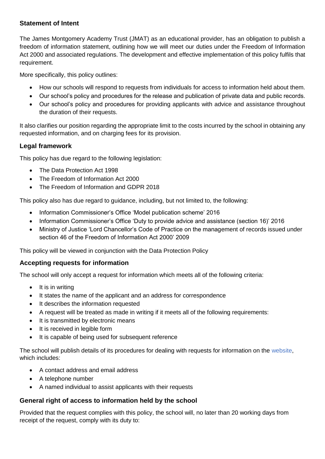# **Statement of Intent**

The James Montgomery Academy Trust (JMAT) as an educational provider, has an obligation to publish a freedom of information statement, outlining how we will meet our duties under the Freedom of Information Act 2000 and associated regulations. The development and effective implementation of this policy fulfils that requirement.

More specifically, this policy outlines:

- How our schools will respond to requests from individuals for access to information held about them.
- Our school's policy and procedures for the release and publication of private data and public records.
- Our school's policy and procedures for providing applicants with advice and assistance throughout the duration of their requests.

It also clarifies our position regarding the appropriate limit to the costs incurred by the school in obtaining any requested information, and on charging fees for its provision.

# **Legal framework**

This policy has due regard to the following legislation:

- The Data Protection Act 1998
- The Freedom of Information Act 2000
- The Freedom of Information and GDPR 2018

This policy also has due regard to guidance, including, but not limited to, the following:

- Information Commissioner's Office 'Model publication scheme' 2016
- Information Commissioner's Office 'Duty to provide advice and assistance (section 16)' 2016
- Ministry of Justice 'Lord Chancellor's Code of Practice on the management of records issued under section 46 of the Freedom of Information Act 2000' 2009

This policy will be viewed in conjunction with the Data Protection Policy

# **Accepting requests for information**

The school will only accept a request for information which meets all of the following criteria:

- It is in writing
- It states the name of the applicant and an address for correspondence
- It describes the information requested
- A request will be treated as made in writing if it meets all of the following requirements:
- It is transmitted by electronic means
- It is received in legible form
- It is capable of being used for subsequent reference

The school will publish details of its procedures for dealing with requests for information on the website, which includes:

- A contact address and email address
- A telephone number
- A named individual to assist applicants with their requests

# **General right of access to information held by the school**

Provided that the request complies with this policy, the school will, no later than 20 working days from receipt of the request, comply with its duty to: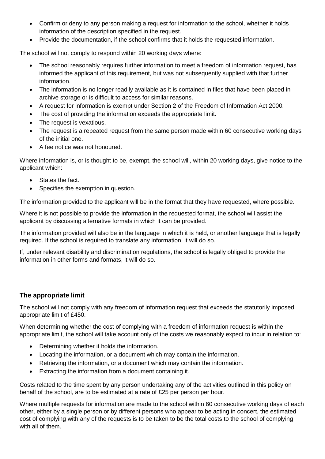- Confirm or deny to any person making a request for information to the school, whether it holds information of the description specified in the request.
- Provide the documentation, if the school confirms that it holds the requested information.

The school will not comply to respond within 20 working days where:

- The school reasonably requires further information to meet a freedom of information request, has informed the applicant of this requirement, but was not subsequently supplied with that further information.
- The information is no longer readily available as it is contained in files that have been placed in archive storage or is difficult to access for similar reasons.
- A request for information is exempt under Section 2 of the Freedom of Information Act 2000.
- The cost of providing the information exceeds the appropriate limit.
- The request is vexatious.
- The request is a repeated request from the same person made within 60 consecutive working days of the initial one.
- A fee notice was not honoured.

Where information is, or is thought to be, exempt, the school will, within 20 working days, give notice to the applicant which:

- States the fact.
- Specifies the exemption in question.

The information provided to the applicant will be in the format that they have requested, where possible.

Where it is not possible to provide the information in the requested format, the school will assist the applicant by discussing alternative formats in which it can be provided.

The information provided will also be in the language in which it is held, or another language that is legally required. If the school is required to translate any information, it will do so.

If, under relevant disability and discrimination regulations, the school is legally obliged to provide the information in other forms and formats, it will do so.

# **The appropriate limit**

The school will not comply with any freedom of information request that exceeds the statutorily imposed appropriate limit of £450.

When determining whether the cost of complying with a freedom of information request is within the appropriate limit, the school will take account only of the costs we reasonably expect to incur in relation to:

- Determining whether it holds the information.
- Locating the information, or a document which may contain the information.
- Retrieving the information, or a document which may contain the information.
- Extracting the information from a document containing it.

Costs related to the time spent by any person undertaking any of the activities outlined in this policy on behalf of the school, are to be estimated at a rate of £25 per person per hour.

Where multiple requests for information are made to the school within 60 consecutive working days of each other, either by a single person or by different persons who appear to be acting in concert, the estimated cost of complying with any of the requests is to be taken to be the total costs to the school of complying with all of them.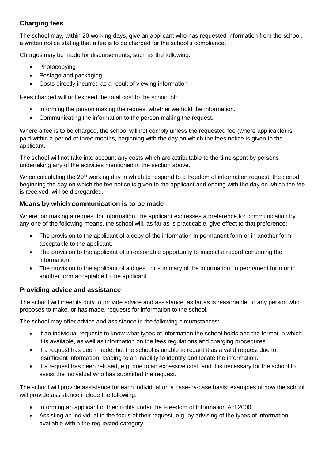# **Charging fees**

The school may, within 20 working days, give an applicant who has requested information from the school, a written notice stating that a fee is to be charged for the school's compliance.

Charges may be made for disbursements, such as the following:

- Photocopying
- Postage and packaging
- Costs directly incurred as a result of viewing information

Fees charged will not exceed the total cost to the school of:

- Informing the person making the request whether we hold the information.
- Communicating the information to the person making the request.

Where a fee is to be charged, the school will not comply unless the requested fee (where applicable) is paid within a period of three months, beginning with the day on which the fees notice is given to the applicant.

The school will not take into account any costs which are attributable to the time spent by persons undertaking any of the activities mentioned in the section above.

When calculating the  $20<sup>th</sup>$  working day in which to respond to a freedom of information request, the period beginning the day on which the fee notice is given to the applicant and ending with the day on which the fee is received, will be disregarded.

# **Means by which communication is to be made**

Where, on making a request for information, the applicant expresses a preference for communication by any one of the following means, the school will, as far as is practicable, give effect to that preference:

- The provision to the applicant of a copy of the information in permanent form or in another form acceptable to the applicant.
- The provision to the applicant of a reasonable opportunity to inspect a record containing the information.
- The provision to the applicant of a digest, or summary of the information, in permanent form or in another form acceptable to the applicant.

# **Providing advice and assistance**

The school will meet its duty to provide advice and assistance, as far as is reasonable, to any person who proposes to make, or has made, requests for information to the school.

The school may offer advice and assistance in the following circumstances:

- If an individual requests to know what types of information the school holds and the format in which it is available, as well as information on the fees regulations and charging procedures.
- If a request has been made, but the school is unable to regard it as a valid request due to insufficient information, leading to an inability to identify and locate the information.
- If a request has been refused, e.g. due to an excessive cost, and it is necessary for the school to assist the individual who has submitted the request.

The school will provide assistance for each individual on a case-by-case basis; examples of how the school will provide assistance include the following:

- Informing an applicant of their rights under the Freedom of Information Act 2000
- Assisting an individual in the focus of their request, e.g. by advising of the types of information available within the requested category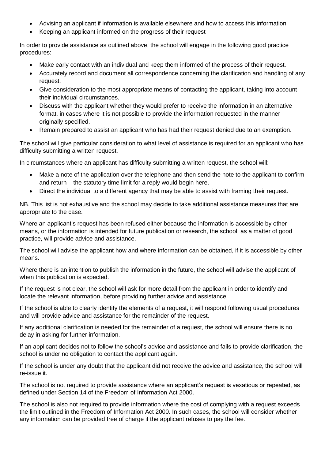- Advising an applicant if information is available elsewhere and how to access this information
- Keeping an applicant informed on the progress of their request

In order to provide assistance as outlined above, the school will engage in the following good practice procedures:

- Make early contact with an individual and keep them informed of the process of their request.
- Accurately record and document all correspondence concerning the clarification and handling of any request.
- Give consideration to the most appropriate means of contacting the applicant, taking into account their individual circumstances.
- Discuss with the applicant whether they would prefer to receive the information in an alternative format, in cases where it is not possible to provide the information requested in the manner originally specified.
- Remain prepared to assist an applicant who has had their request denied due to an exemption.

The school will give particular consideration to what level of assistance is required for an applicant who has difficulty submitting a written request.

In circumstances where an applicant has difficulty submitting a written request, the school will:

- Make a note of the application over the telephone and then send the note to the applicant to confirm and return – the statutory time limit for a reply would begin here.
- Direct the individual to a different agency that may be able to assist with framing their request.

NB. This list is not exhaustive and the school may decide to take additional assistance measures that are appropriate to the case.

Where an applicant's request has been refused either because the information is accessible by other means, or the information is intended for future publication or research, the school, as a matter of good practice, will provide advice and assistance.

The school will advise the applicant how and where information can be obtained, if it is accessible by other means.

Where there is an intention to publish the information in the future, the school will advise the applicant of when this publication is expected.

If the request is not clear, the school will ask for more detail from the applicant in order to identify and locate the relevant information, before providing further advice and assistance.

If the school is able to clearly identify the elements of a request, it will respond following usual procedures and will provide advice and assistance for the remainder of the request.

If any additional clarification is needed for the remainder of a request, the school will ensure there is no delay in asking for further information.

If an applicant decides not to follow the school's advice and assistance and fails to provide clarification, the school is under no obligation to contact the applicant again.

If the school is under any doubt that the applicant did not receive the advice and assistance, the school will re-issue it.

The school is not required to provide assistance where an applicant's request is vexatious or repeated, as defined under Section 14 of the Freedom of Information Act 2000.

The school is also not required to provide information where the cost of complying with a request exceeds the limit outlined in the Freedom of Information Act 2000. In such cases, the school will consider whether any information can be provided free of charge if the applicant refuses to pay the fee.